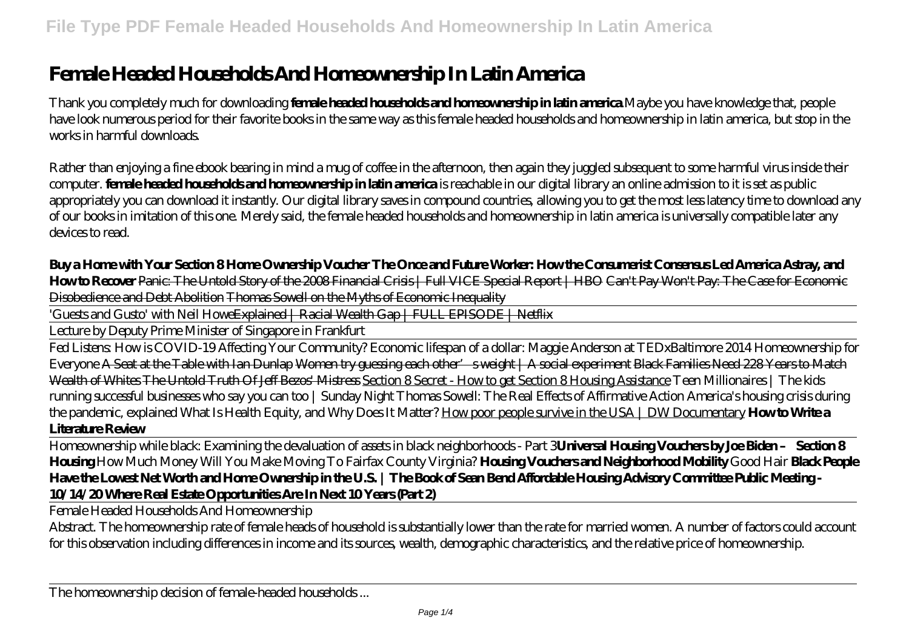## **Female Headed Households And Homeownership In Latin America**

Thank you completely much for downloading **female headed households and homeownership in latin america**.Maybe you have knowledge that, people have look numerous period for their favorite books in the same way as this female headed households and homeownership in latin america, but stop in the works in harmful downloads.

Rather than enjoying a fine ebook bearing in mind a mug of coffee in the afternoon, then again they juggled subsequent to some harmful virus inside their computer. **female headed households and homeownership in latin america** is reachable in our digital library an online admission to it is set as public appropriately you can download it instantly. Our digital library saves in compound countries, allowing you to get the most less latency time to download any of our books in imitation of this one. Merely said, the female headed households and homeownership in latin america is universally compatible later any devices to read.

**Buy a Home with Your Section 8 Home Ownership Voucher The Once and Future Worker: How the Consumerist Consensus Led America Astray, and How to Recover** Panic: The Untold Story of the 2008 Financial Crisis | Full VICE Special Report | HBO Can't Pay Won't Pay: The Case for Economic Disobedience and Debt Abolition Thomas Sowell on the Myths of Economic Inequality

'Guests and Gusto' with Neil Howe<del>Explained | Racial Wealth Gap | FULL EPISODE | Netflix</del>

Lecture by Deputy Prime Minister of Singapore in Frankfurt

Fed Listens: How is COVID-19 Affecting Your Community? Economic lifespan of a dollar: Maggie Anderson at TEDxBaltimore 2014 Homeownership for Everyone A Seat at the Table with Ian Dunlap Women try guessing each other's weight | A social experiment Black Families Need 228 Years to Match Wealth of Whites The Untold Truth Of Jeff Bezos' Mistress Section 8 Secret - How to get Section 8 Housing Assistance Teen Millionaires | The kids running successful businesses who say you can too | Sunday Night Thomas Sowell: The Real Effects of Affirmative Action America's housing crisis during the pandemic, explained What Is Health Equity, and Why Does It Matter? How poor people survive in the USA | DW Documentary **How to Write a Literature Review**

Homeownership while black: Examining the devaluation of assets in black neighborhoods - Part 3**Universal Housing Vouchers by Joe Biden – Section 8 Housing** *How Much Money Will You Make Moving To Fairfax County Virginia?* **Housing Vouchers and Neighborhood Mobility** *Good Hair* **Black People Have the Lowest Net Worth and Home Ownership in the U.S. | The Book of Sean Bend Affordable Housing Advisory Committee Public Meeting - 10/14/20 Where Real Estate Opportunities Are In Next 10 Years (Part 2)**

Female Headed Households And Homeownership

Abstract. The homeownership rate of female heads of household is substantially lower than the rate for married women. A number of factors could account for this observation including differences in income and its sources, wealth, demographic characteristics, and the relative price of homeownership.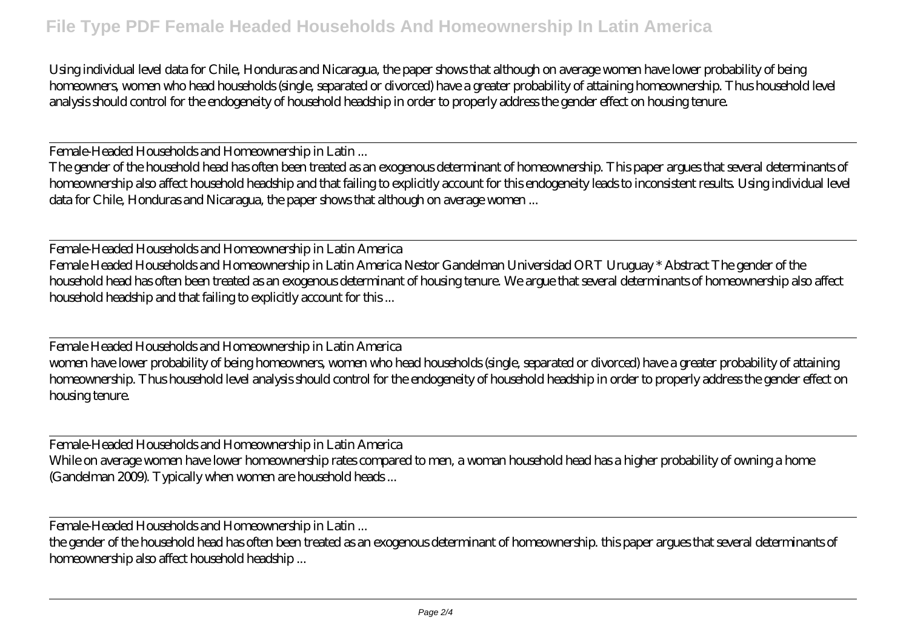Using individual level data for Chile, Honduras and Nicaragua, the paper shows that although on average women have lower probability of being homeowners, women who head households (single, separated or divorced) have a greater probability of attaining homeownership. Thus household level analysis should control for the endogeneity of household headship in order to properly address the gender effect on housing tenure.

Female-Headed Households and Homeownership in Latin ...

The gender of the household head has often been treated as an exogenous determinant of homeownership. This paper argues that several determinants of homeownership also affect household headship and that failing to explicitly account for this endogeneity leads to inconsistent results. Using individual level data for Chile, Honduras and Nicaragua, the paper shows that although on average women ...

Female-Headed Households and Homeownership in Latin America Female Headed Households and Homeownership in Latin America Nestor Gandelman Universidad ORT Uruguay \* Abstract The gender of the household head has often been treated as an exogenous determinant of housing tenure. We argue that several determinants of homeownership also affect household headship and that failing to explicitly account for this ...

Female Headed Households and Homeownership in Latin America women have lower probability of being homeowners, women who head households (single, separated or divorced) have a greater probability of attaining homeownership. Thus household level analysis should control for the endogeneity of household headship in order to properly address the gender effect on housing tenure.

Female-Headed Households and Homeownership in Latin America While on average women have lower homeownership rates compared to men, a woman household head has a higher probability of owning a home (Gandelman 2009). Typically when women are household heads ...

Female-Headed Households and Homeownership in Latin ...

the gender of the household head has often been treated as an exogenous determinant of homeownership. this paper argues that several determinants of homeownership also affect household headship ...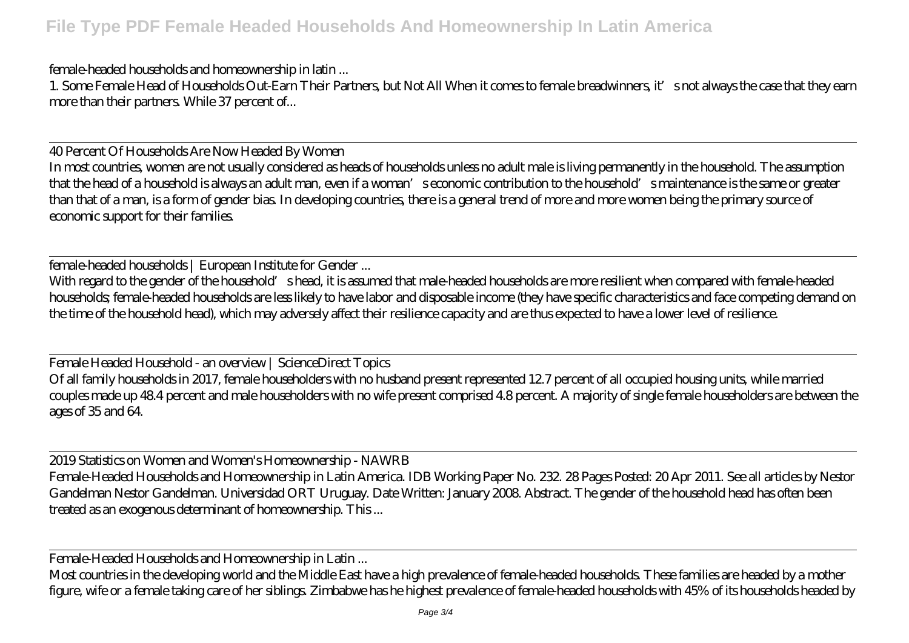female-headed households and homeownership in latin ...

1. Some Female Head of Households Out-Earn Their Partners, but Not All When it comes to female breadwinners, it's not always the case that they earn more than their partners. While 37 percent of...

40 Percent Of Households Are Now Headed By Women In most countries, women are not usually considered as heads of households unless no adult male is living permanently in the household. The assumption that the head of a household is always an adult man, even if a woman's economic contribution to the household's maintenance is the same or greater than that of a man, is a form of gender bias. In developing countries, there is a general trend of more and more women being the primary source of economic support for their families.

female-headed households | European Institute for Gender ...

With regard to the gender of the household's head, it is assumed that male-headed households are more resilient when compared with female-headed households; female-headed households are less likely to have labor and disposable income (they have specific characteristics and face competing demand on the time of the household head), which may adversely affect their resilience capacity and are thus expected to have a lower level of resilience.

Female Headed Household - an overview | ScienceDirect Topics Of all family households in 2017, female householders with no husband present represented 12.7 percent of all occupied housing units, while married couples made up 48.4 percent and male householders with no wife present comprised 4.8 percent. A majority of single female householders are between the ages of 35 and 64.

2019 Statistics on Women and Women's Homeownership - NAWRB Female-Headed Households and Homeownership in Latin America. IDB Working Paper No. 232. 28 Pages Posted: 20 Apr 2011. See all articles by Nestor Gandelman Nestor Gandelman. Universidad ORT Uruguay. Date Written: January 2008. Abstract. The gender of the household head has often been treated as an exogenous determinant of homeownership. This ...

Female-Headed Households and Homeownership in Latin ...

Most countries in the developing world and the Middle East have a high prevalence of female-headed households. These families are headed by a mother figure, wife or a female taking care of her siblings. Zimbabwe has he highest prevalence of female-headed households with 45% of its households headed by